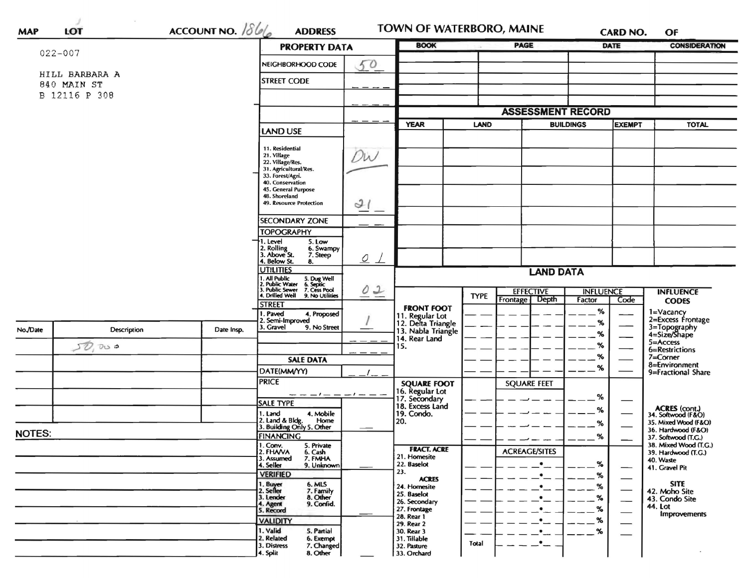| $022 - 007$                  |                |                    | <b>PROPERTY DATA</b>                                                                                                                       |           | <b>BOOK</b>                                                 |                                                             | <b>PAGE</b>              |                                   | <b>DATE</b> | <b>CONSIDERATION</b>                         |
|------------------------------|----------------|--------------------|--------------------------------------------------------------------------------------------------------------------------------------------|-----------|-------------------------------------------------------------|-------------------------------------------------------------|--------------------------|-----------------------------------|-------------|----------------------------------------------|
|                              |                |                    | NEIGHBORHOOD CODE                                                                                                                          | 50        |                                                             |                                                             |                          |                                   |             |                                              |
|                              | HILL BARBARA A | <b>STREET CODE</b> |                                                                                                                                            |           |                                                             |                                                             |                          |                                   |             |                                              |
| 840 MAIN ST<br>B 12116 P 308 |                |                    |                                                                                                                                            |           |                                                             |                                                             |                          |                                   |             |                                              |
|                              |                |                    |                                                                                                                                            |           |                                                             |                                                             | <b>ASSESSMENT RECORD</b> |                                   |             |                                              |
|                              |                |                    |                                                                                                                                            |           | <b>YEAR</b>                                                 | LAND                                                        |                          | <b>BUILDINGS</b><br><b>EXEMPT</b> |             | <b>TOTAL</b>                                 |
|                              |                |                    | <b>LAND USE</b>                                                                                                                            |           |                                                             |                                                             |                          |                                   |             |                                              |
|                              |                |                    | 11. Residential<br>21. Village<br>22. Village/Res.<br>31. Agricultural/Res.<br>33. Forest/Agri.<br>40. Conservation<br>45. General Purpose | DW        |                                                             |                                                             |                          |                                   |             |                                              |
|                              |                |                    | 48. Shoreland<br><b>49. Resource Protection</b>                                                                                            | 21        |                                                             |                                                             |                          |                                   |             |                                              |
|                              |                |                    | <b>SECONDARY ZONE</b>                                                                                                                      |           |                                                             |                                                             |                          |                                   |             |                                              |
|                              |                |                    | <b>TOPOGRAPHY</b><br>1. Level<br>5. Low                                                                                                    |           |                                                             |                                                             |                          |                                   |             |                                              |
|                              |                |                    | 2. Rolling<br>3. Above St.<br>6. Swampy<br>7. Steep<br>4. Below St.<br>8.                                                                  | $Q \perp$ |                                                             |                                                             |                          |                                   |             |                                              |
|                              |                | <b>UTILITIES</b>   | <b>LAND DATA</b>                                                                                                                           |           |                                                             |                                                             |                          |                                   |             |                                              |
|                              |                |                    | 1. All Public<br>2. Public Water<br>3. Public Sewer<br>4. Drilled Well<br>5. Dug Well<br>6. Septic<br>7. Cess Pool<br>9. No Utilities      | 02        |                                                             | <b>EFFECTIVE</b><br><b>TYPE</b><br>Frontage<br><b>Depth</b> |                          | <b>INFLUENCE</b><br>Factor        | Code        | <b>INFLUENCE</b>                             |
|                              |                |                    | <b>STREET</b>                                                                                                                              |           | <b>FRONT FOOT</b>                                           |                                                             |                          | %                                 |             | <b>CODES</b>                                 |
|                              |                |                    | I. Paved<br>4. Proposed<br>2. Semi-Improved<br>3. Gravel<br>9. No Street                                                                   |           | 11. Regular Lot<br>12. Delta Triangle<br>13. Nabla Triangle |                                                             |                          | %                                 |             | 1=Vacancy<br>2=Excess Frontage               |
| No./Date                     | Description    | Date Insp.         |                                                                                                                                            |           | 14. Rear Land                                               |                                                             |                          | %                                 |             | 3=Topography<br>4=Size/Shape                 |
|                              | DQQ<br>57)     |                    |                                                                                                                                            |           | 15.                                                         |                                                             |                          | %                                 |             | 5=Access<br>6=Restrictions                   |
|                              |                |                    | <b>SALE DATA</b>                                                                                                                           |           | <b>SQUARE FOOT</b>                                          |                                                             |                          | %                                 |             | $7 = Correct$ Corner<br>8=Environment        |
|                              |                |                    | DATE(MM/YY)                                                                                                                                |           |                                                             |                                                             |                          | %                                 |             | 9=Fractional Share                           |
|                              |                |                    | <b>PRICE</b>                                                                                                                               |           |                                                             |                                                             | <b>SQUARE FEET</b>       |                                   |             |                                              |
|                              |                |                    | <b>SALE TYPE</b>                                                                                                                           |           | 16. Regular Lot<br>17. Secondary                            |                                                             |                          | %                                 |             |                                              |
|                              |                |                    | 4. Mobile<br>1. Land                                                                                                                       |           | 18. Excess Land<br>19. Condo.                               |                                                             |                          | ℅                                 |             | ACRES (cont.)<br>34. Softwood (F&O)          |
|                              |                |                    | 2. Land & Bldg. Home<br>3. Building Only 5. Other<br>Home                                                                                  |           | 20.                                                         |                                                             |                          | %                                 |             | 35. Mixed Wood (F&O)                         |
| <b>NOTES:</b>                |                |                    | <b>FINANCING</b>                                                                                                                           |           |                                                             |                                                             |                          | %                                 |             | 36. Hardwood (F&O)<br>37. Softwood (T.G.)    |
|                              |                |                    | 1. Conv.<br>5. Private<br>2. FHAVA<br>6. Cash                                                                                              |           | <b>FRACT. ACRE</b>                                          |                                                             | <b>ACREAGE/SITES</b>     |                                   |             | 38. Mixed Wood (T.G.)<br>39. Hardwood (T.G.) |
|                              |                |                    | 7. FMHA<br>3. Assumed<br>4. Seller<br>9. Unknown                                                                                           |           | 21. Homesite<br>22. Baselot                                 |                                                             | $\bullet$                | $\%$                              |             | 40. Waste                                    |
|                              |                |                    | <b>VERIFIED</b>                                                                                                                            |           | 23.<br><b>ACRES</b>                                         |                                                             | $\bullet$                | $\%$                              |             | 41. Gravel Pit                               |
|                              |                |                    | 1. Buyer<br>6. MLS<br>2. Seller<br>7. Family                                                                                               |           | 24. Homesite                                                |                                                             | ٠                        | $-$ %                             |             | <b>SITE</b><br>42. Moho Site                 |
|                              |                |                    | 3. Lender<br>8. Other<br>9. Confid.<br>4. Agent                                                                                            |           | 25. Baselot<br>26. Secondary                                |                                                             |                          | $-$ %                             | --          | 43. Condo Site                               |
|                              |                |                    | 5. Record                                                                                                                                  |           | 27. Frontage<br>28. Rear 1                                  |                                                             |                          | $-$ %                             |             | 44. Lot<br>Improvements                      |
|                              |                |                    | <b>VALIDITY</b>                                                                                                                            |           | 29. Rear 2                                                  |                                                             |                          | $\frac{9}{6}$                     |             |                                              |
|                              |                |                    | 1. Valid<br>5. Partial<br>2. Related<br>6. Exempt                                                                                          |           | 30. Rear 3<br>31. Tillable                                  | Total                                                       | $\bullet_{--}$           | $\%$                              |             |                                              |
|                              |                |                    | 3. Distress<br>7. Changed                                                                                                                  |           |                                                             |                                                             |                          |                                   |             |                                              |